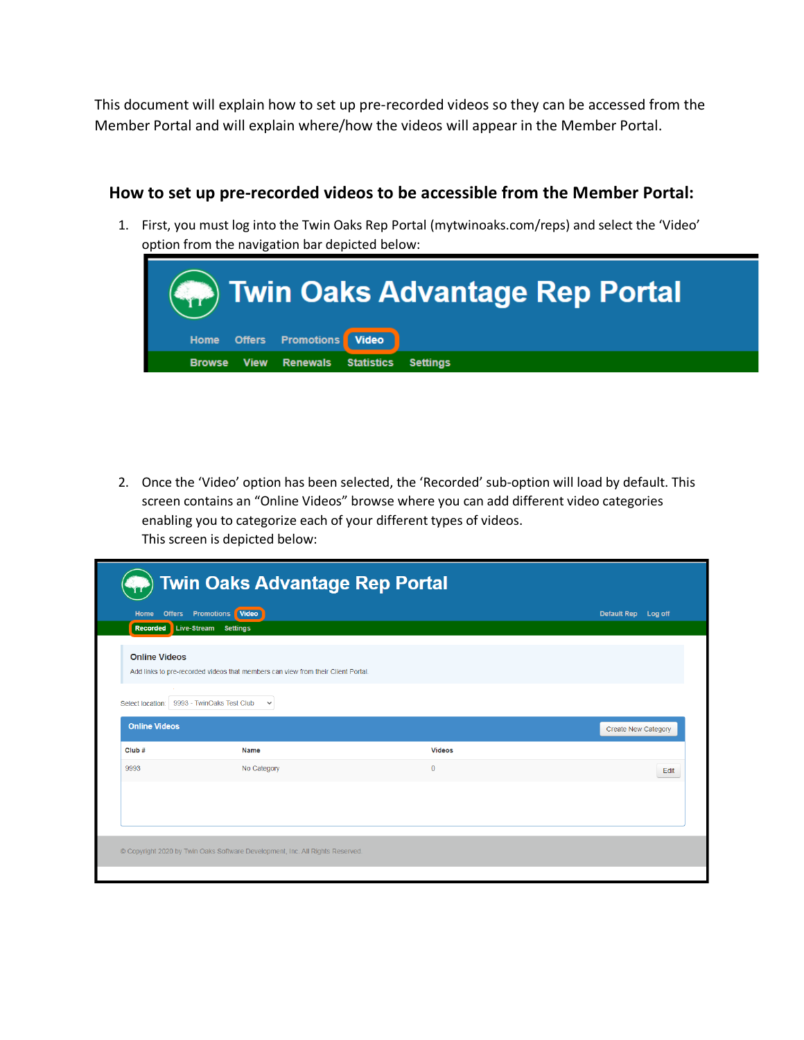This document will explain how to set up pre-recorded videos so they can be accessed from the Member Portal and will explain where/how the videos will appear in the Member Portal.

## **How to set up pre-recorded videos to be accessible from the Member Portal:**

1. First, you must log into the Twin Oaks Rep Portal (mytwinoaks.com/reps) and select the 'Video' option from the navigation bar depicted below:



2. Once the 'Video' option has been selected, the 'Recorded' sub-option will load by default. This screen contains an "Online Videos" browse where you can add different video categories enabling you to categorize each of your different types of videos. This screen is depicted below:

| Home<br><b>Offers</b> | Video<br><b>Promotions</b>                                                       |               | Default Rep Log off        |
|-----------------------|----------------------------------------------------------------------------------|---------------|----------------------------|
|                       | Recorded Live-Stream Settings                                                    |               |                            |
| <b>Online Videos</b>  |                                                                                  |               |                            |
|                       | Add links to pre-recorded videos that members can view from their Client Portal. |               |                            |
|                       |                                                                                  |               |                            |
|                       | Select location: 9993 - TwinOaks Test Club<br>$\checkmark$                       |               |                            |
|                       |                                                                                  |               |                            |
| <b>Online Videos</b>  |                                                                                  |               | <b>Create New Category</b> |
|                       | Name                                                                             | <b>Videos</b> |                            |
| Club#<br>9993         | No Category                                                                      | $\mathbf 0$   | Edit                       |
|                       |                                                                                  |               |                            |
|                       |                                                                                  |               |                            |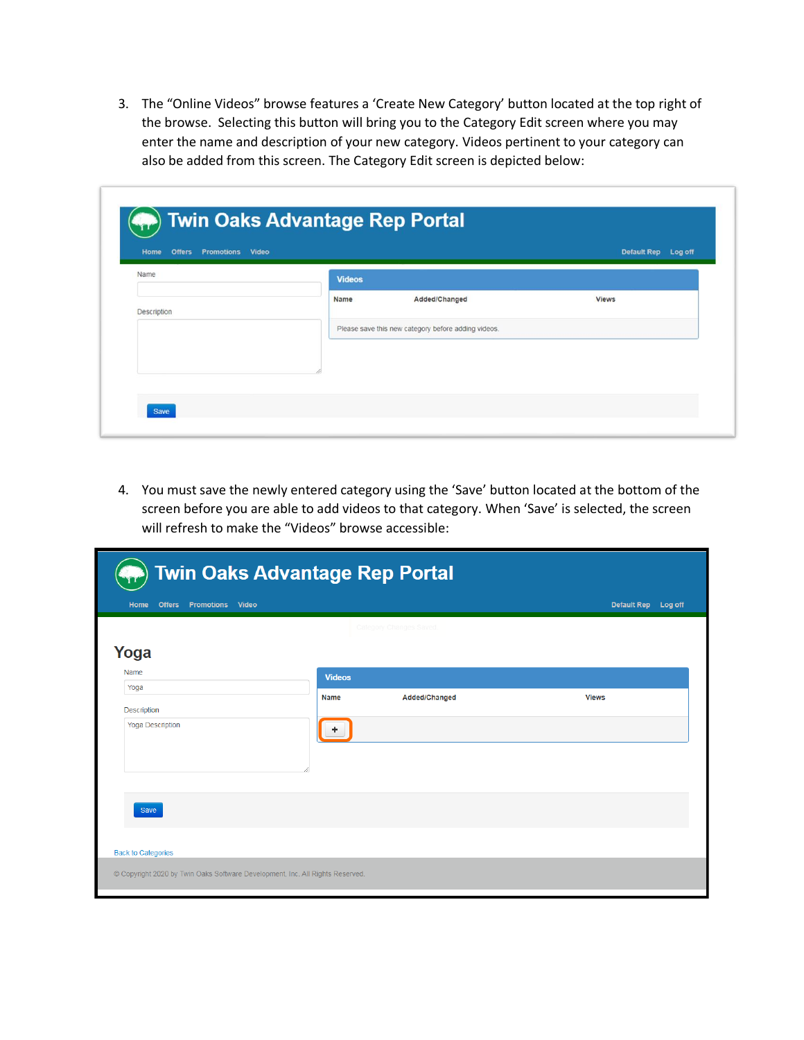3. The "Online Videos" browse features a 'Create New Category' button located at the top right of the browse. Selecting this button will bring you to the Category Edit screen where you may enter the name and description of your new category. Videos pertinent to your category can also be added from this screen. The Category Edit screen is depicted below:

| Name        | <b>Videos</b> |                                                                      |              |
|-------------|---------------|----------------------------------------------------------------------|--------------|
| Description | Name          | Added/Changed<br>Please save this new category before adding videos. | <b>Views</b> |

4. You must save the newly entered category using the 'Save' button located at the bottom of the screen before you are able to add videos to that category. When 'Save' is selected, the screen will refresh to make the "Videos" browse accessible:

| Home<br><b>Offers</b><br><b>Promotions Video</b> |                      |                         | Default Rep Log off |
|--------------------------------------------------|----------------------|-------------------------|---------------------|
|                                                  |                      | Category Changes Saved. |                     |
| Yoga                                             |                      |                         |                     |
| Name                                             | <b>Videos</b>        |                         |                     |
| Yoga                                             | <b>Name</b>          | Added/Changed           | <b>Views</b>        |
| Description                                      |                      |                         |                     |
| <b>Yoga Description</b>                          | $\ddot{\phantom{1}}$ |                         |                     |
| Save                                             |                      |                         |                     |
|                                                  |                      |                         |                     |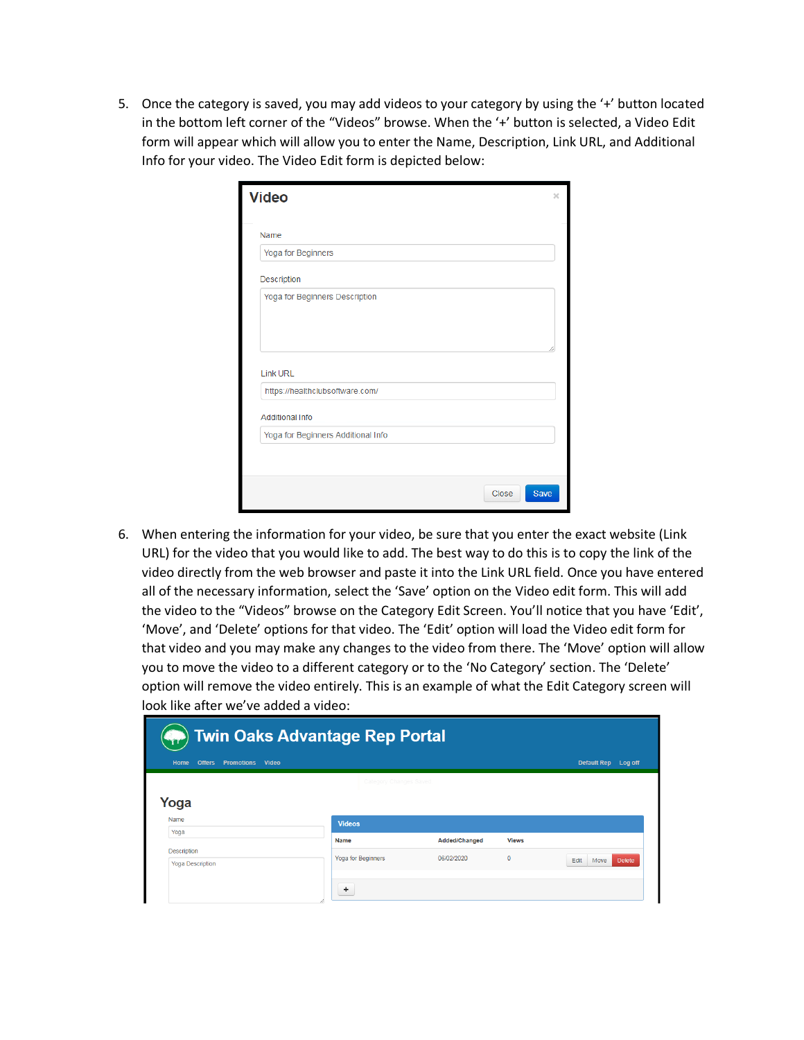5. Once the category is saved, you may add videos to your category by using the '+' button located in the bottom left corner of the "Videos" browse. When the '+' button is selected, a Video Edit form will appear which will allow you to enter the Name, Description, Link URL, and Additional Info for your video. The Video Edit form is depicted below:

| <b>Video</b>                       | $\times$      |
|------------------------------------|---------------|
| Name                               |               |
| Yoga for Beginners                 |               |
| Description                        |               |
| Yoga for Beginners Description     |               |
| <b>Link URL</b>                    |               |
| https://healthclubsoftware.com/    |               |
| <b>Additional Info</b>             |               |
| Yoga for Beginners Additional Info |               |
|                                    |               |
|                                    |               |
|                                    | Save<br>Close |

6. When entering the information for your video, be sure that you enter the exact website (Link URL) for the video that you would like to add. The best way to do this is to copy the link of the video directly from the web browser and paste it into the Link URL field. Once you have entered all of the necessary information, select the 'Save' option on the Video edit form. This will add the video to the "Videos" browse on the Category Edit Screen. You'll notice that you have 'Edit', 'Move', and 'Delete' options for that video. The 'Edit' option will load the Video edit form for that video and you may make any changes to the video from there. The 'Move' option will allow you to move the video to a different category or to the 'No Category' section. The 'Delete' option will remove the video entirely. This is an example of what the Edit Category screen will look like after we've added a video:

| <b>Twin Oaks Advantage Rep Portal</b>               |                         |               |              |                               |  |  |  |  |
|-----------------------------------------------------|-------------------------|---------------|--------------|-------------------------------|--|--|--|--|
| <b>Offers</b><br><b>Promotions</b><br>Video<br>Home |                         |               |              | Default Rep Log off           |  |  |  |  |
|                                                     | Category Changes Saved. |               |              |                               |  |  |  |  |
| Yoga                                                |                         |               |              |                               |  |  |  |  |
| <b>Name</b>                                         | <b>Videos</b>           |               |              |                               |  |  |  |  |
| Yoga                                                | Name                    | Added/Changed | <b>Views</b> |                               |  |  |  |  |
| <b>Description</b><br><b>Yoga Description</b>       | Yoga for Beginners      | 06/02/2020    | $\circ$      | <b>Delete</b><br>Edit<br>Move |  |  |  |  |
|                                                     | ÷                       |               |              |                               |  |  |  |  |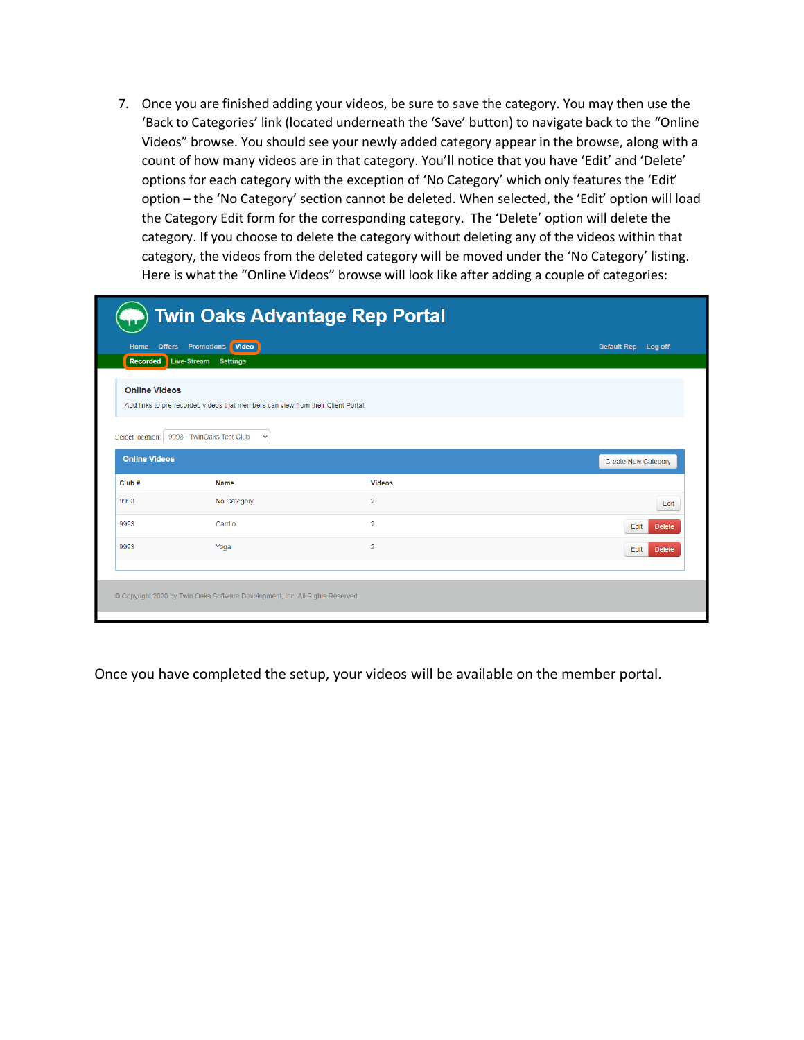7. Once you are finished adding your videos, be sure to save the category. You may then use the 'Back to Categories' link (located underneath the 'Save' button) to navigate back to the "Online Videos" browse. You should see your newly added category appear in the browse, along with a count of how many videos are in that category. You'll notice that you have 'Edit' and 'Delete' options for each category with the exception of 'No Category' which only features the 'Edit' option – the 'No Category' section cannot be deleted. When selected, the 'Edit' option will load the Category Edit form for the corresponding category. The 'Delete' option will delete the category. If you choose to delete the category without deleting any of the videos within that category, the videos from the deleted category will be moved under the 'No Category' listing. Here is what the "Online Videos" browse will look like after adding a couple of categories:

|                      | <b>Twin Oaks Advantage Rep Portal</b>                                                                    |                |                            |  |  |  |  |  |
|----------------------|----------------------------------------------------------------------------------------------------------|----------------|----------------------------|--|--|--|--|--|
| Home                 | Video<br><b>Offers Promotions</b>                                                                        |                | Default Rep Log off        |  |  |  |  |  |
| <b>Recorded</b>      | Live-Stream<br><b>Settings</b>                                                                           |                |                            |  |  |  |  |  |
|                      | <b>Online Videos</b><br>Add links to pre-recorded videos that members can view from their Client Portal. |                |                            |  |  |  |  |  |
| Select location:     | 9993 - TwinOaks Test Club<br>$\checkmark$                                                                |                |                            |  |  |  |  |  |
| <b>Online Videos</b> |                                                                                                          |                | <b>Create New Category</b> |  |  |  |  |  |
| Club#                | <b>Name</b>                                                                                              | <b>Videos</b>  |                            |  |  |  |  |  |
| 9993                 | No Category                                                                                              | $\overline{2}$ | Edit                       |  |  |  |  |  |
| 9993                 | Cardio                                                                                                   | $\overline{2}$ | Edit<br><b>Delete</b>      |  |  |  |  |  |
| 9993                 | Yoga                                                                                                     | $\overline{2}$ | Edit<br><b>Delete</b>      |  |  |  |  |  |
|                      |                                                                                                          |                |                            |  |  |  |  |  |
|                      | © Copyright 2020 by Twin Oaks Software Development, Inc. All Rights Reserved.                            |                |                            |  |  |  |  |  |

Once you have completed the setup, your videos will be available on the member portal.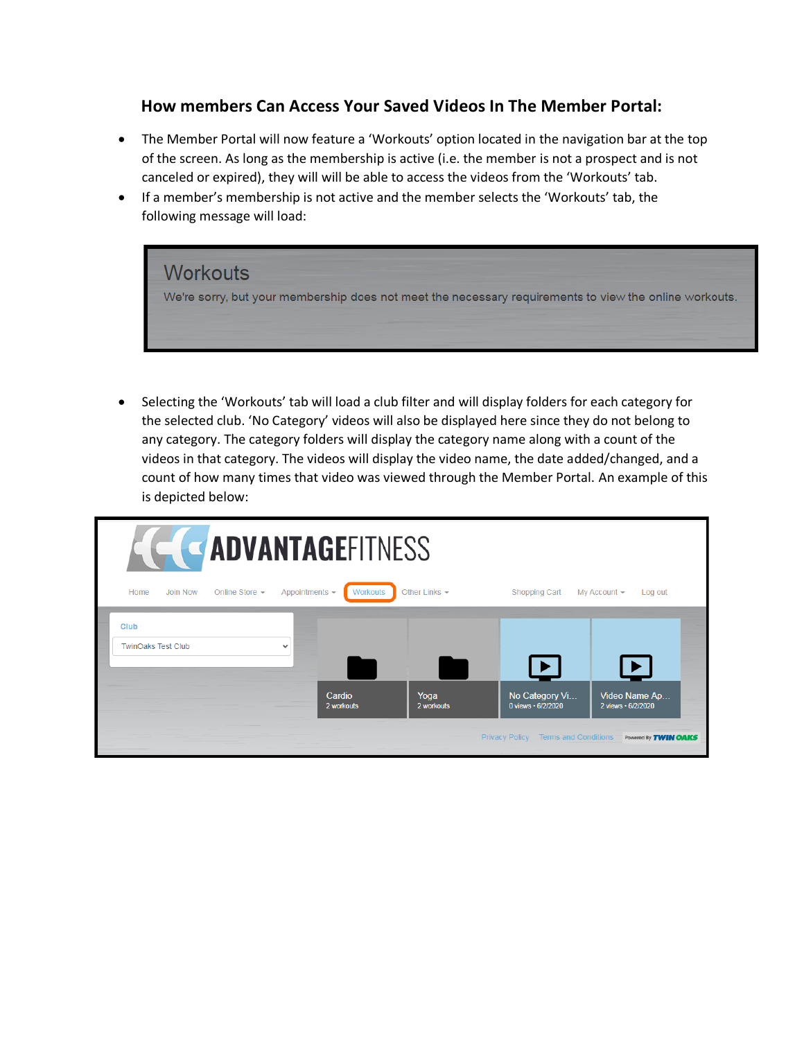## **How members Can Access Your Saved Videos In The Member Portal:**

- The Member Portal will now feature a 'Workouts' option located in the navigation bar at the top of the screen. As long as the membership is active (i.e. the member is not a prospect and is not canceled or expired), they will will be able to access the videos from the 'Workouts' tab.
- If a member's membership is not active and the member selects the 'Workouts' tab, the following message will load:



• Selecting the 'Workouts' tab will load a club filter and will display folders for each category for the selected club. 'No Category' videos will also be displayed here since they do not belong to any category. The category folders will display the category name along with a count of the videos in that category. The videos will display the video name, the date added/changed, and a count of how many times that video was viewed through the Member Portal. An example of this is depicted below:

| <b>E ADVANTAGEFITNESS</b>         |          |                |                       |                 |                    |                                                      |                                                              |  |
|-----------------------------------|----------|----------------|-----------------------|-----------------|--------------------|------------------------------------------------------|--------------------------------------------------------------|--|
| Home                              | Join Now | Online Store - | Appointments -        | <b>Workouts</b> | Other Links $\sim$ | Shopping Cart                                        | My Account -<br>Log out                                      |  |
| Club<br><b>TwinOaks Test Club</b> |          |                | $\check{ }$<br>Cardio | 2 workouts      | Yoga<br>2 workouts | No Category Vi<br>0 views · 6/2/2020                 | $\blacktriangleright$<br>Video Name Ap<br>2 views • 6/2/2020 |  |
|                                   |          |                |                       |                 |                    | <b>Privacy Policy</b><br><b>Terms and Conditions</b> | Powered By <b>TWIN OAKS</b>                                  |  |